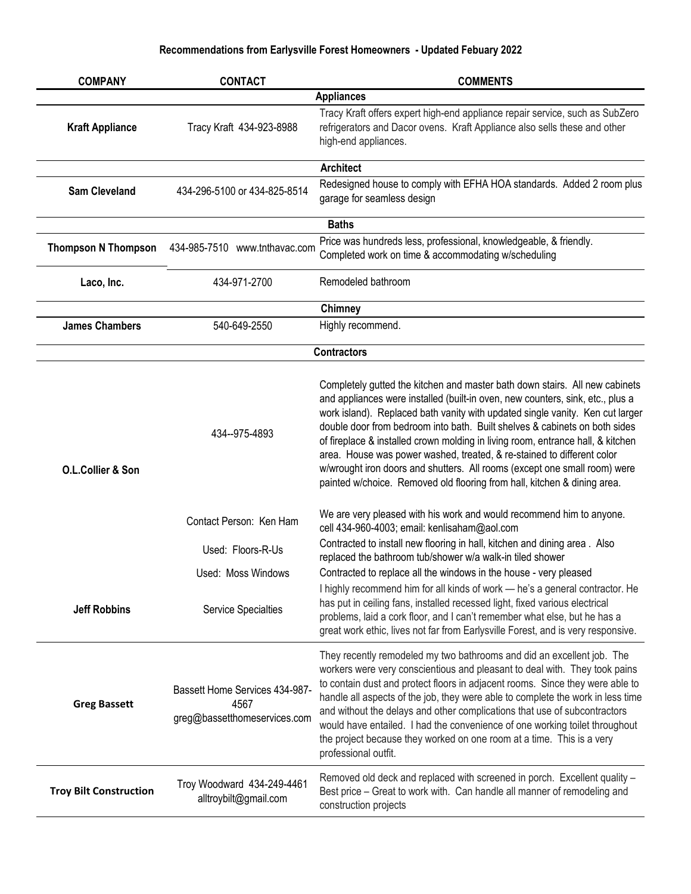| <b>COMPANY</b>                | <b>CONTACT</b>                                                         | <b>COMMENTS</b>                                                                                                                                                                                                                                                                                                                                                                                                                                                                                                                                                                                                                                    |
|-------------------------------|------------------------------------------------------------------------|----------------------------------------------------------------------------------------------------------------------------------------------------------------------------------------------------------------------------------------------------------------------------------------------------------------------------------------------------------------------------------------------------------------------------------------------------------------------------------------------------------------------------------------------------------------------------------------------------------------------------------------------------|
|                               |                                                                        | <b>Appliances</b>                                                                                                                                                                                                                                                                                                                                                                                                                                                                                                                                                                                                                                  |
| <b>Kraft Appliance</b>        | Tracy Kraft 434-923-8988                                               | Tracy Kraft offers expert high-end appliance repair service, such as SubZero<br>refrigerators and Dacor ovens. Kraft Appliance also sells these and other<br>high-end appliances.                                                                                                                                                                                                                                                                                                                                                                                                                                                                  |
|                               |                                                                        | <b>Architect</b>                                                                                                                                                                                                                                                                                                                                                                                                                                                                                                                                                                                                                                   |
| <b>Sam Cleveland</b>          | 434-296-5100 or 434-825-8514                                           | Redesigned house to comply with EFHA HOA standards. Added 2 room plus<br>garage for seamless design                                                                                                                                                                                                                                                                                                                                                                                                                                                                                                                                                |
|                               |                                                                        | <b>Baths</b>                                                                                                                                                                                                                                                                                                                                                                                                                                                                                                                                                                                                                                       |
| <b>Thompson N Thompson</b>    | 434-985-7510 www.tnthavac.com                                          | Price was hundreds less, professional, knowledgeable, & friendly.<br>Completed work on time & accommodating w/scheduling                                                                                                                                                                                                                                                                                                                                                                                                                                                                                                                           |
| Laco, Inc.                    | 434-971-2700                                                           | Remodeled bathroom                                                                                                                                                                                                                                                                                                                                                                                                                                                                                                                                                                                                                                 |
|                               |                                                                        | <b>Chimney</b>                                                                                                                                                                                                                                                                                                                                                                                                                                                                                                                                                                                                                                     |
| <b>James Chambers</b>         | 540-649-2550                                                           | Highly recommend.                                                                                                                                                                                                                                                                                                                                                                                                                                                                                                                                                                                                                                  |
|                               |                                                                        | <b>Contractors</b>                                                                                                                                                                                                                                                                                                                                                                                                                                                                                                                                                                                                                                 |
|                               |                                                                        |                                                                                                                                                                                                                                                                                                                                                                                                                                                                                                                                                                                                                                                    |
| O.L.Collier & Son             | 434--975-4893                                                          | Completely gutted the kitchen and master bath down stairs. All new cabinets<br>and appliances were installed (built-in oven, new counters, sink, etc., plus a<br>work island). Replaced bath vanity with updated single vanity. Ken cut larger<br>double door from bedroom into bath. Built shelves & cabinets on both sides<br>of fireplace & installed crown molding in living room, entrance hall, & kitchen<br>area. House was power washed, treated, & re-stained to different color<br>w/wrought iron doors and shutters. All rooms (except one small room) were<br>painted w/choice. Removed old flooring from hall, kitchen & dining area. |
|                               | Contact Person: Ken Ham                                                | We are very pleased with his work and would recommend him to anyone.<br>cell 434-960-4003; email: kenlisaham@aol.com                                                                                                                                                                                                                                                                                                                                                                                                                                                                                                                               |
|                               | Used: Floors-R-Us                                                      | Contracted to install new flooring in hall, kitchen and dining area. Also<br>replaced the bathroom tub/shower w/a walk-in tiled shower                                                                                                                                                                                                                                                                                                                                                                                                                                                                                                             |
|                               | Used: Moss Windows                                                     | Contracted to replace all the windows in the house - very pleased                                                                                                                                                                                                                                                                                                                                                                                                                                                                                                                                                                                  |
| <b>Jeff Robbins</b>           | <b>Service Specialties</b>                                             | I highly recommend him for all kinds of work - he's a general contractor. He<br>has put in ceiling fans, installed recessed light, fixed various electrical<br>problems, laid a cork floor, and I can't remember what else, but he has a<br>great work ethic, lives not far from Earlysville Forest, and is very responsive.                                                                                                                                                                                                                                                                                                                       |
| <b>Greg Bassett</b>           | Bassett Home Services 434-987-<br>4567<br>greg@bassetthomeservices.com | They recently remodeled my two bathrooms and did an excellent job. The<br>workers were very conscientious and pleasant to deal with. They took pains<br>to contain dust and protect floors in adjacent rooms. Since they were able to<br>handle all aspects of the job, they were able to complete the work in less time<br>and without the delays and other complications that use of subcontractors<br>would have entailed. I had the convenience of one working toilet throughout<br>the project because they worked on one room at a time. This is a very<br>professional outfit.                                                              |
| <b>Troy Bilt Construction</b> | Troy Woodward 434-249-4461<br>alltroybilt@gmail.com                    | Removed old deck and replaced with screened in porch. Excellent quality -<br>Best price - Great to work with. Can handle all manner of remodeling and<br>construction projects                                                                                                                                                                                                                                                                                                                                                                                                                                                                     |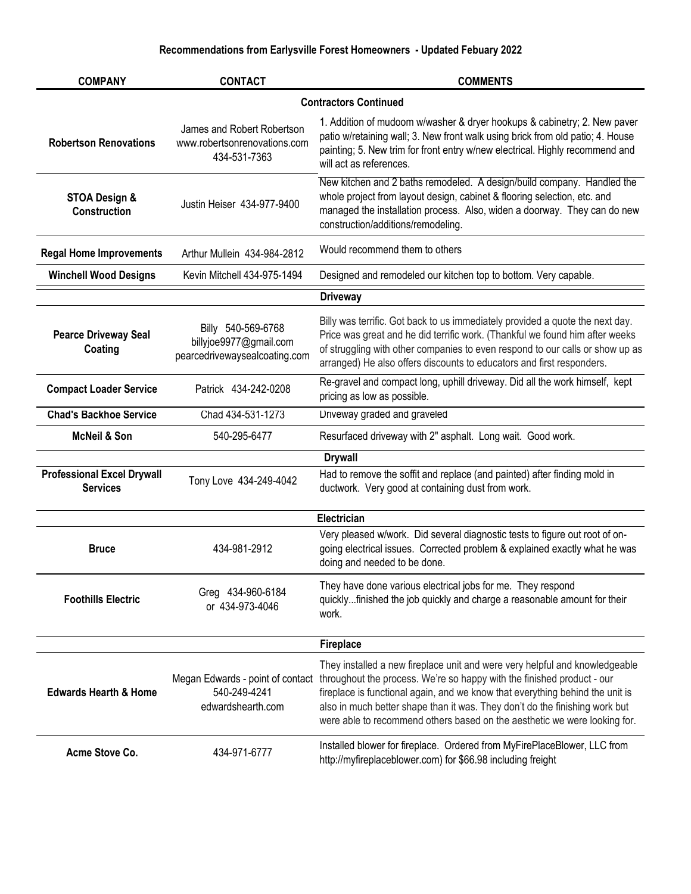| <b>COMPANY</b>                                       | <b>CONTACT</b>                                                                | <b>COMMENTS</b>                                                                                                                                                                                                                                                                                                                                                                                    |
|------------------------------------------------------|-------------------------------------------------------------------------------|----------------------------------------------------------------------------------------------------------------------------------------------------------------------------------------------------------------------------------------------------------------------------------------------------------------------------------------------------------------------------------------------------|
|                                                      |                                                                               | <b>Contractors Continued</b>                                                                                                                                                                                                                                                                                                                                                                       |
| <b>Robertson Renovations</b>                         | James and Robert Robertson<br>www.robertsonrenovations.com<br>434-531-7363    | 1. Addition of mudoom w/washer & dryer hookups & cabinetry; 2. New paver<br>patio w/retaining wall; 3. New front walk using brick from old patio; 4. House<br>painting; 5. New trim for front entry w/new electrical. Highly recommend and<br>will act as references.                                                                                                                              |
| STOA Design &<br>Construction                        | Justin Heiser 434-977-9400                                                    | New kitchen and 2 baths remodeled. A design/build company. Handled the<br>whole project from layout design, cabinet & flooring selection, etc. and<br>managed the installation process. Also, widen a doorway. They can do new<br>construction/additions/remodeling.                                                                                                                               |
| <b>Regal Home Improvements</b>                       | Arthur Mullein 434-984-2812                                                   | Would recommend them to others                                                                                                                                                                                                                                                                                                                                                                     |
| <b>Winchell Wood Designs</b>                         | Kevin Mitchell 434-975-1494                                                   | Designed and remodeled our kitchen top to bottom. Very capable.                                                                                                                                                                                                                                                                                                                                    |
|                                                      |                                                                               | <b>Driveway</b>                                                                                                                                                                                                                                                                                                                                                                                    |
| <b>Pearce Driveway Seal</b><br>Coating               | Billy 540-569-6768<br>billyjoe9977@gmail.com<br>pearcedrivewaysealcoating.com | Billy was terrific. Got back to us immediately provided a quote the next day.<br>Price was great and he did terrific work. (Thankful we found him after weeks<br>of struggling with other companies to even respond to our calls or show up as<br>arranged) He also offers discounts to educators and first responders.                                                                            |
| <b>Compact Loader Service</b>                        | Patrick 434-242-0208                                                          | Re-gravel and compact long, uphill driveway. Did all the work himself, kept<br>pricing as low as possible.                                                                                                                                                                                                                                                                                         |
| <b>Chad's Backhoe Service</b>                        | Chad 434-531-1273                                                             | Driveway graded and graveled                                                                                                                                                                                                                                                                                                                                                                       |
| <b>McNeil &amp; Son</b>                              | 540-295-6477                                                                  | Resurfaced driveway with 2" asphalt. Long wait. Good work.                                                                                                                                                                                                                                                                                                                                         |
|                                                      |                                                                               | <b>Drywall</b>                                                                                                                                                                                                                                                                                                                                                                                     |
| <b>Professional Excel Drywall</b><br><b>Services</b> | Tony Love 434-249-4042                                                        | Had to remove the soffit and replace (and painted) after finding mold in<br>ductwork. Very good at containing dust from work.                                                                                                                                                                                                                                                                      |
|                                                      |                                                                               | Electrician                                                                                                                                                                                                                                                                                                                                                                                        |
| <b>Bruce</b>                                         | 434-981-2912                                                                  | Very pleased w/work. Did several diagnostic tests to figure out root of on-<br>going electrical issues. Corrected problem & explained exactly what he was<br>doing and needed to be done.                                                                                                                                                                                                          |
| <b>Foothills Electric</b>                            | Greg 434-960-6184<br>or 434-973-4046                                          | They have done various electrical jobs for me. They respond<br>quicklyfinished the job quickly and charge a reasonable amount for their<br>work.                                                                                                                                                                                                                                                   |
|                                                      |                                                                               | <b>Fireplace</b>                                                                                                                                                                                                                                                                                                                                                                                   |
| <b>Edwards Hearth &amp; Home</b>                     | Megan Edwards - point of contact<br>540-249-4241<br>edwardshearth.com         | They installed a new fireplace unit and were very helpful and knowledgeable<br>throughout the process. We're so happy with the finished product - our<br>fireplace is functional again, and we know that everything behind the unit is<br>also in much better shape than it was. They don't do the finishing work but<br>were able to recommend others based on the aesthetic we were looking for. |
| Acme Stove Co.                                       | 434-971-6777                                                                  | Installed blower for fireplace. Ordered from MyFirePlaceBlower, LLC from<br>http://myfireplaceblower.com) for \$66.98 including freight                                                                                                                                                                                                                                                            |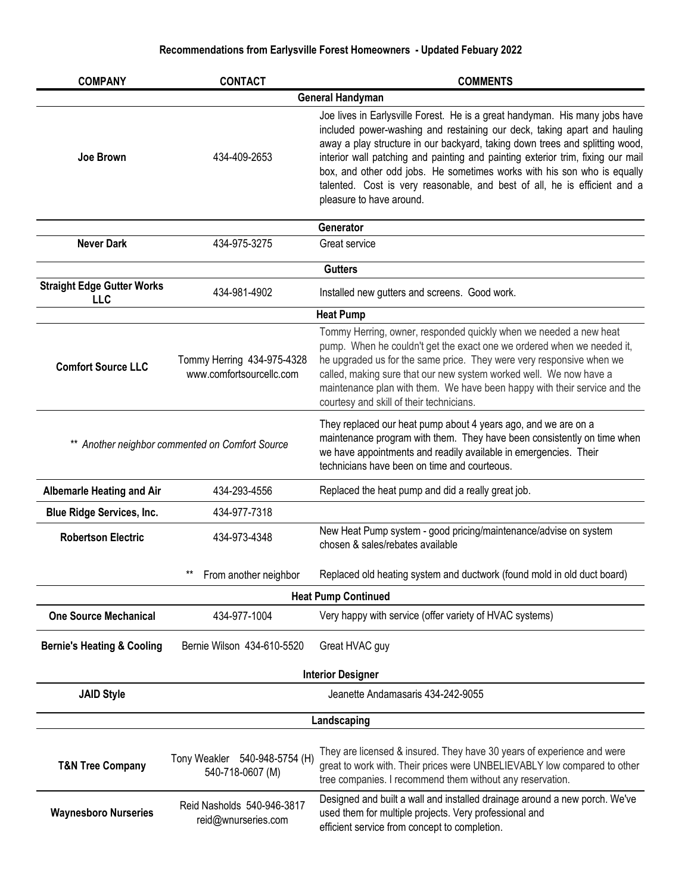| <b>COMPANY</b>                        | <b>CONTACT</b>                                         | <b>COMMENTS</b>                                                                                                                                                                                                                                                                                                                                                                                                                                                                                                |  |  |
|---------------------------------------|--------------------------------------------------------|----------------------------------------------------------------------------------------------------------------------------------------------------------------------------------------------------------------------------------------------------------------------------------------------------------------------------------------------------------------------------------------------------------------------------------------------------------------------------------------------------------------|--|--|
| <b>General Handyman</b>               |                                                        |                                                                                                                                                                                                                                                                                                                                                                                                                                                                                                                |  |  |
| Joe Brown                             | 434-409-2653                                           | Joe lives in Earlysville Forest. He is a great handyman. His many jobs have<br>included power-washing and restaining our deck, taking apart and hauling<br>away a play structure in our backyard, taking down trees and splitting wood,<br>interior wall patching and painting and painting exterior trim, fixing our mail<br>box, and other odd jobs. He sometimes works with his son who is equally<br>talented. Cost is very reasonable, and best of all, he is efficient and a<br>pleasure to have around. |  |  |
|                                       |                                                        | Generator                                                                                                                                                                                                                                                                                                                                                                                                                                                                                                      |  |  |
| <b>Never Dark</b>                     | 434-975-3275                                           | Great service                                                                                                                                                                                                                                                                                                                                                                                                                                                                                                  |  |  |
|                                       |                                                        | <b>Gutters</b>                                                                                                                                                                                                                                                                                                                                                                                                                                                                                                 |  |  |
| <b>Straight Edge Gutter Works</b>     | 434-981-4902                                           | Installed new gutters and screens. Good work.                                                                                                                                                                                                                                                                                                                                                                                                                                                                  |  |  |
| <b>LLC</b>                            |                                                        |                                                                                                                                                                                                                                                                                                                                                                                                                                                                                                                |  |  |
|                                       |                                                        | <b>Heat Pump</b>                                                                                                                                                                                                                                                                                                                                                                                                                                                                                               |  |  |
| <b>Comfort Source LLC</b>             | Tommy Herring 434-975-4328<br>www.comfortsourcellc.com | Tommy Herring, owner, responded quickly when we needed a new heat<br>pump. When he couldn't get the exact one we ordered when we needed it,<br>he upgraded us for the same price. They were very responsive when we<br>called, making sure that our new system worked well. We now have a<br>maintenance plan with them. We have been happy with their service and the<br>courtesy and skill of their technicians.                                                                                             |  |  |
|                                       | ** Another neighbor commented on Comfort Source        | They replaced our heat pump about 4 years ago, and we are on a<br>maintenance program with them. They have been consistently on time when<br>we have appointments and readily available in emergencies. Their<br>technicians have been on time and courteous.                                                                                                                                                                                                                                                  |  |  |
| <b>Albemarle Heating and Air</b>      | 434-293-4556                                           | Replaced the heat pump and did a really great job.                                                                                                                                                                                                                                                                                                                                                                                                                                                             |  |  |
| <b>Blue Ridge Services, Inc.</b>      | 434-977-7318                                           |                                                                                                                                                                                                                                                                                                                                                                                                                                                                                                                |  |  |
| <b>Robertson Electric</b>             | 434-973-4348                                           | New Heat Pump system - good pricing/maintenance/advise on system<br>chosen & sales/rebates available                                                                                                                                                                                                                                                                                                                                                                                                           |  |  |
|                                       | **<br>From another neighbor                            | Replaced old heating system and ductwork (found mold in old duct board)                                                                                                                                                                                                                                                                                                                                                                                                                                        |  |  |
|                                       |                                                        | <b>Heat Pump Continued</b>                                                                                                                                                                                                                                                                                                                                                                                                                                                                                     |  |  |
| <b>One Source Mechanical</b>          | 434-977-1004                                           | Very happy with service (offer variety of HVAC systems)                                                                                                                                                                                                                                                                                                                                                                                                                                                        |  |  |
| <b>Bernie's Heating &amp; Cooling</b> | Bernie Wilson 434-610-5520                             | Great HVAC guy                                                                                                                                                                                                                                                                                                                                                                                                                                                                                                 |  |  |
|                                       |                                                        | <b>Interior Designer</b>                                                                                                                                                                                                                                                                                                                                                                                                                                                                                       |  |  |
| <b>JAID Style</b>                     |                                                        | Jeanette Andamasaris 434-242-9055                                                                                                                                                                                                                                                                                                                                                                                                                                                                              |  |  |
|                                       |                                                        | Landscaping                                                                                                                                                                                                                                                                                                                                                                                                                                                                                                    |  |  |
| <b>T&amp;N Tree Company</b>           | Tony Weakler 540-948-5754 (H)<br>540-718-0607 (M)      | They are licensed & insured. They have 30 years of experience and were<br>great to work with. Their prices were UNBELIEVABLY low compared to other<br>tree companies. I recommend them without any reservation.                                                                                                                                                                                                                                                                                                |  |  |
| <b>Waynesboro Nurseries</b>           | Reid Nasholds 540-946-3817<br>reid@wnurseries.com      | Designed and built a wall and installed drainage around a new porch. We've<br>used them for multiple projects. Very professional and<br>efficient service from concept to completion.                                                                                                                                                                                                                                                                                                                          |  |  |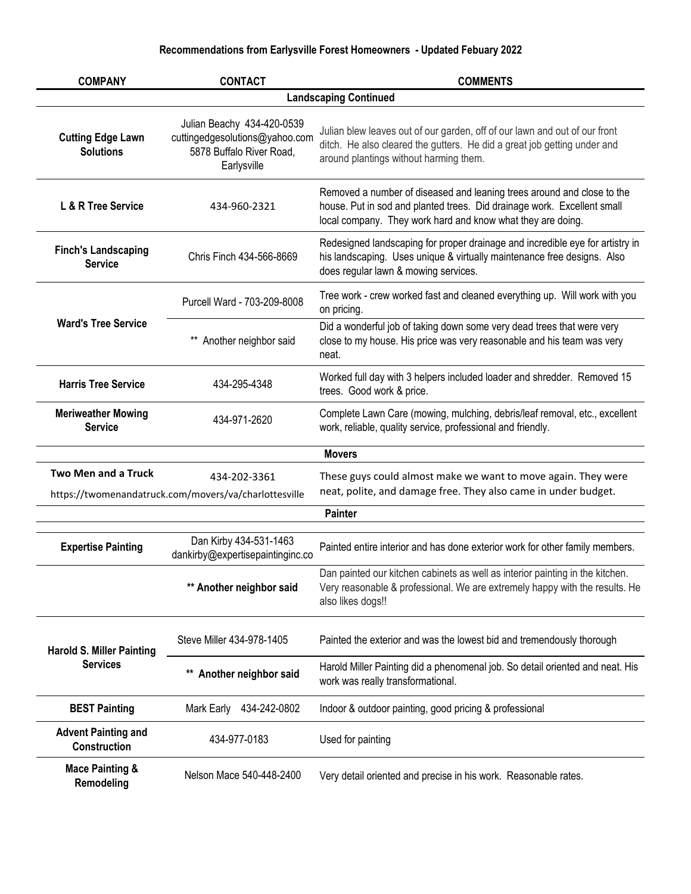| <b>COMPANY</b>                                      | <b>CONTACT</b>                                                                                          | <b>COMMENTS</b>                                                                                                                                                                                                  |
|-----------------------------------------------------|---------------------------------------------------------------------------------------------------------|------------------------------------------------------------------------------------------------------------------------------------------------------------------------------------------------------------------|
|                                                     |                                                                                                         | <b>Landscaping Continued</b>                                                                                                                                                                                     |
| <b>Cutting Edge Lawn</b><br><b>Solutions</b>        | Julian Beachy 434-420-0539<br>cuttingedgesolutions@yahoo.com<br>5878 Buffalo River Road,<br>Earlysville | Julian blew leaves out of our garden, off of our lawn and out of our front<br>ditch. He also cleared the gutters. He did a great job getting under and<br>around plantings without harming them.                 |
| L & R Tree Service                                  | 434-960-2321                                                                                            | Removed a number of diseased and leaning trees around and close to the<br>house. Put in sod and planted trees. Did drainage work. Excellent small<br>local company. They work hard and know what they are doing. |
| <b>Finch's Landscaping</b><br><b>Service</b>        | Chris Finch 434-566-8669                                                                                | Redesigned landscaping for proper drainage and incredible eye for artistry in<br>his landscaping. Uses unique & virtually maintenance free designs. Also<br>does regular lawn & mowing services.                 |
|                                                     | Purcell Ward - 703-209-8008                                                                             | Tree work - crew worked fast and cleaned everything up. Will work with you<br>on pricing.                                                                                                                        |
| <b>Ward's Tree Service</b>                          | Another neighbor said                                                                                   | Did a wonderful job of taking down some very dead trees that were very<br>close to my house. His price was very reasonable and his team was very<br>neat.                                                        |
| <b>Harris Tree Service</b>                          | 434-295-4348                                                                                            | Worked full day with 3 helpers included loader and shredder. Removed 15<br>trees. Good work & price.                                                                                                             |
| <b>Meriweather Mowing</b><br><b>Service</b>         | 434-971-2620                                                                                            | Complete Lawn Care (mowing, mulching, debris/leaf removal, etc., excellent<br>work, reliable, quality service, professional and friendly.                                                                        |
|                                                     |                                                                                                         | <b>Movers</b>                                                                                                                                                                                                    |
| <b>Two Men and a Truck</b>                          | 434-202-3361<br>https://twomenandatruck.com/movers/va/charlottesville                                   | These guys could almost make we want to move again. They were<br>neat, polite, and damage free. They also came in under budget.                                                                                  |
|                                                     |                                                                                                         | <b>Painter</b>                                                                                                                                                                                                   |
| <b>Expertise Painting</b>                           | Dan Kirby 434-531-1463<br>dankirby@expertisepaintinginc.co                                              | Painted entire interior and has done exterior work for other family members.                                                                                                                                     |
|                                                     | ** Another neighbor said                                                                                | Dan painted our kitchen cabinets as well as interior painting in the kitchen<br>Very reasonable & professional. We are extremely happy with the results. He<br>also likes dogs!!                                 |
| <b>Harold S. Miller Painting</b><br><b>Services</b> | Steve Miller 434-978-1405                                                                               | Painted the exterior and was the lowest bid and tremendously thorough                                                                                                                                            |
|                                                     | Another neighbor said                                                                                   | Harold Miller Painting did a phenomenal job. So detail oriented and neat. His<br>work was really transformational.                                                                                               |
| <b>BEST Painting</b>                                | 434-242-0802<br>Mark Early                                                                              | Indoor & outdoor painting, good pricing & professional                                                                                                                                                           |
| <b>Advent Painting and</b><br>Construction          | 434-977-0183                                                                                            | Used for painting                                                                                                                                                                                                |
| <b>Mace Painting &amp;</b><br>Remodeling            | Nelson Mace 540-448-2400                                                                                | Very detail oriented and precise in his work. Reasonable rates.                                                                                                                                                  |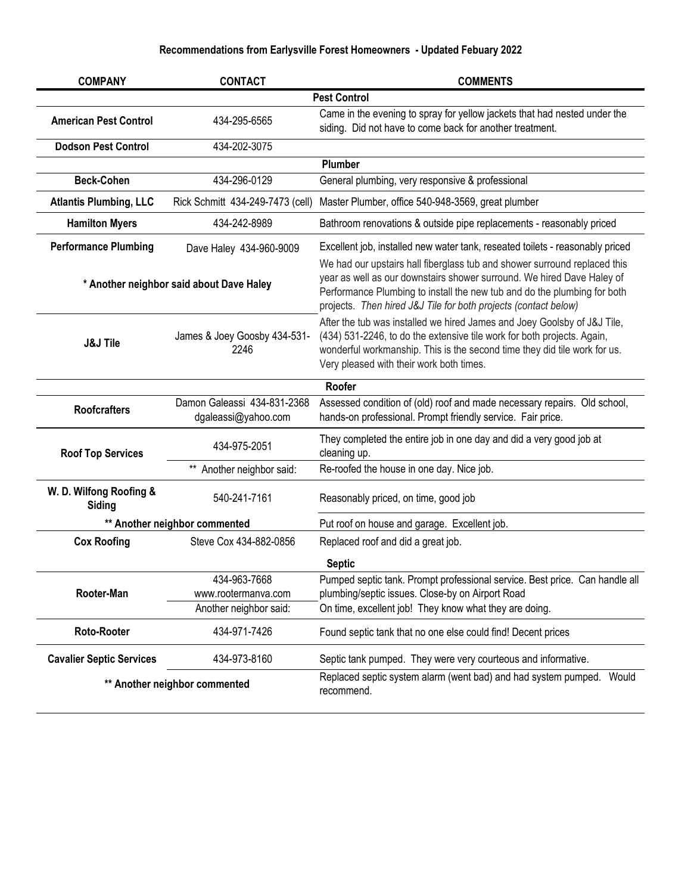| <b>COMPANY</b>                           | <b>CONTACT</b>                                     | <b>COMMENTS</b>                                                                                                                                                                                                                                                                                    |
|------------------------------------------|----------------------------------------------------|----------------------------------------------------------------------------------------------------------------------------------------------------------------------------------------------------------------------------------------------------------------------------------------------------|
| <b>Pest Control</b>                      |                                                    |                                                                                                                                                                                                                                                                                                    |
| <b>American Pest Control</b>             | 434-295-6565                                       | Came in the evening to spray for yellow jackets that had nested under the<br>siding. Did not have to come back for another treatment.                                                                                                                                                              |
| <b>Dodson Pest Control</b>               | 434-202-3075                                       |                                                                                                                                                                                                                                                                                                    |
|                                          |                                                    | Plumber                                                                                                                                                                                                                                                                                            |
| <b>Beck-Cohen</b>                        | 434-296-0129                                       | General plumbing, very responsive & professional                                                                                                                                                                                                                                                   |
| <b>Atlantis Plumbing, LLC</b>            | Rick Schmitt 434-249-7473 (cell)                   | Master Plumber, office 540-948-3569, great plumber                                                                                                                                                                                                                                                 |
| <b>Hamilton Myers</b>                    | 434-242-8989                                       | Bathroom renovations & outside pipe replacements - reasonably priced                                                                                                                                                                                                                               |
| <b>Performance Plumbing</b>              | Dave Haley 434-960-9009                            | Excellent job, installed new water tank, reseated toilets - reasonably priced                                                                                                                                                                                                                      |
| * Another neighbor said about Dave Haley |                                                    | We had our upstairs hall fiberglass tub and shower surround replaced this<br>year as well as our downstairs shower surround. We hired Dave Haley of<br>Performance Plumbing to install the new tub and do the plumbing for both<br>projects. Then hired J&J Tile for both projects (contact below) |
| <b>J&amp;J Tile</b>                      | James & Joey Goosby 434-531-<br>2246               | After the tub was installed we hired James and Joey Goolsby of J&J Tile,<br>(434) 531-2246, to do the extensive tile work for both projects. Again,<br>wonderful workmanship. This is the second time they did tile work for us.<br>Very pleased with their work both times.                       |
|                                          |                                                    | Roofer                                                                                                                                                                                                                                                                                             |
| <b>Roofcrafters</b>                      | Damon Galeassi 434-831-2368<br>dgaleassi@yahoo.com | Assessed condition of (old) roof and made necessary repairs. Old school,<br>hands-on professional. Prompt friendly service. Fair price.                                                                                                                                                            |
| <b>Roof Top Services</b>                 | 434-975-2051                                       | They completed the entire job in one day and did a very good job at<br>cleaning up.                                                                                                                                                                                                                |
|                                          | Another neighbor said:<br>$^{\star\star}$          | Re-roofed the house in one day. Nice job.                                                                                                                                                                                                                                                          |
| W. D. Wilfong Roofing &<br>Siding        | 540-241-7161                                       | Reasonably priced, on time, good job                                                                                                                                                                                                                                                               |
|                                          | ** Another neighbor commented                      | Put roof on house and garage. Excellent job.                                                                                                                                                                                                                                                       |
| <b>Cox Roofing</b>                       | Steve Cox 434-882-0856                             | Replaced roof and did a great job.                                                                                                                                                                                                                                                                 |
|                                          |                                                    | <b>Septic</b>                                                                                                                                                                                                                                                                                      |
|                                          | 434-963-7668                                       | Pumped septic tank. Prompt professional service. Best price. Can handle all                                                                                                                                                                                                                        |
| Rooter-Man                               | www.rootermanva.com                                | plumbing/septic issues. Close-by on Airport Road                                                                                                                                                                                                                                                   |
|                                          | Another neighbor said:                             | On time, excellent job! They know what they are doing.                                                                                                                                                                                                                                             |
| Roto-Rooter                              | 434-971-7426                                       | Found septic tank that no one else could find! Decent prices                                                                                                                                                                                                                                       |
| <b>Cavalier Septic Services</b>          | 434-973-8160                                       | Septic tank pumped. They were very courteous and informative.                                                                                                                                                                                                                                      |
| ** Another neighbor commented            |                                                    | Replaced septic system alarm (went bad) and had system pumped. Would<br>recommend.                                                                                                                                                                                                                 |